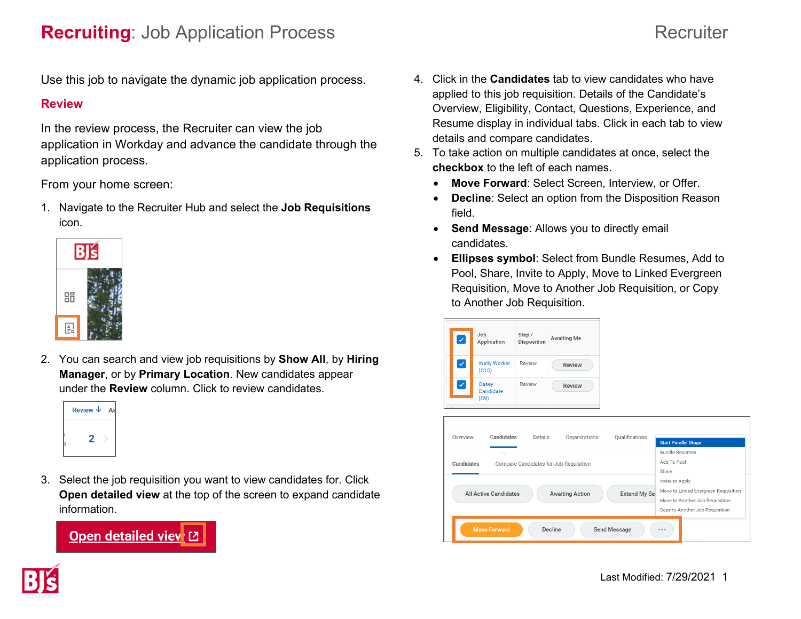Use this job to navigate the dynamic job application process.

#### **Review**

In the review process, the Recruiter can view the job application in Workday and advance the candidate through the application process.

From your home screen:

1. Navigate to the Recruiter Hub and select the **Job Requisitions** icon.



2. You can search and view job requisitions by **Show All**, by **Hiring Manager**, or by **Primary Location**. New candidates appear under the **Review** column. Click to review candidates.

| Review $\downarrow$<br>$\mathbf{q}$ |  |
|-------------------------------------|--|
|                                     |  |

3. Select the job requisition you want to view candidates for. Click **Open detailed view** at the top of the screen to expand candidate information.



- 4. Click in the **Candidates** tab to view candidates who have applied to this job requisition. Details of the Candidate's Overview, Eligibility, Contact, Questions, Experience, and Resume display in individual tabs. Click in each tab to view details and compare candidates.
- 5. To take action on multiple candidates at once, select the **checkbox** to the left of each names.
	- **Move Forward**: Select Screen, Interview, or Offer.
	- **Decline**: Select an option from the Disposition Reason field.
	- **Send Message**: Allows you to directly email candidates.
	- **Ellipses symbol**: Select from Bundle Resumes, Add to Pool, Share, Invite to Apply, Move to Linked Evergreen Requisition, Move to Another Job Requisition, or Copy to Another Job Requisition.

| $\checkmark$ | Job<br>Application           | Step /<br>Disposition | Awaiting Me   |
|--------------|------------------------------|-----------------------|---------------|
| $\checkmark$ | <b>Wally Worker</b><br>(C10) | Review                | <b>Review</b> |
| ✓            | Casey<br>Candidate<br>(C9)   | Review                | Review        |



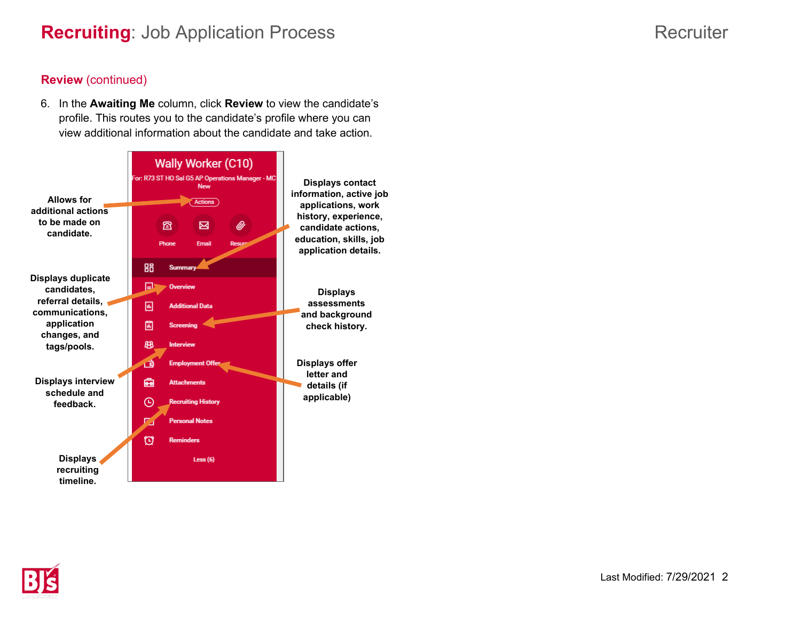# **Recruiting**: Job Application Process **Recruiting**: Job Application Process Recruiter

### **Review** (continued)

6. In the **Awaiting Me** column, click **Review** to view the candidate's profile. This routes you to the candidate's profile where you can view additional information about the candidate and take action.



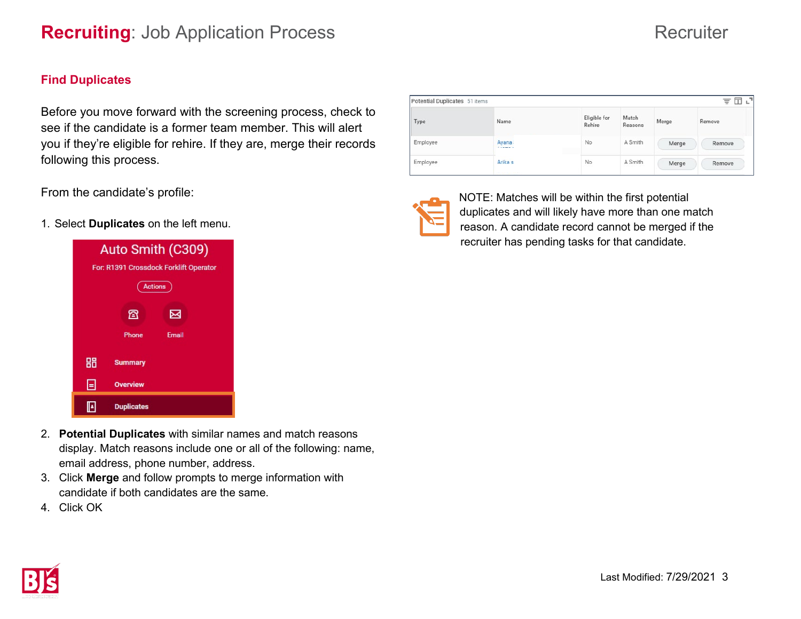# **Recruiting**: Job Application Process Recruiter

### **Find Duplicates**

Before you move forward with the screening process, check to see if the candidate is a former team member. This will alert you if they're eligible for rehire. If they are, merge their records following this process.

From the candidate's profile:

1. Select **Duplicates** on the left menu.



Potential Duplicates 51 items 支用に Eligible for Match Name Merge Remove Rehire Reasons Employee Ayana No A Smith Merge Remove Employee Arika<sub>s</sub>  $No$ A Smith Merge Remove



Type

NOTE: Matches will be within the first potential duplicates and will likely have more than one match reason. A candidate record cannot be merged if the recruiter has pending tasks for that candidate.

- 2. **Potential Duplicates** with similar names and match reasons display. Match reasons include one or all of the following: name, email address, phone number, address.
- 3. Click **Merge** and follow prompts to merge information with candidate if both candidates are the same.
- 4. Click OK

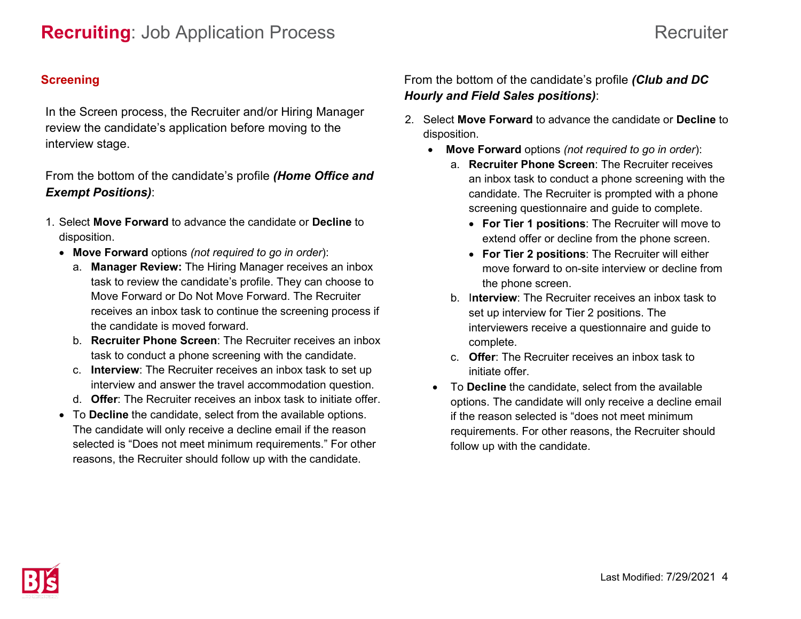## **Screening**

In the Screen process, the Recruiter and/or Hiring Manager review the candidate's application before moving to the interview stage.

# From the bottom of the candidate's profile *(Home Office and Exempt Positions)*:

- 1. Select **Move Forward** to advance the candidate or **Decline** to disposition.
	- **Move Forward** options *(not required to go in order*):
		- a. **Manager Review:** The Hiring Manager receives an inbox task to review the candidate's profile. They can choose to Move Forward or Do Not Move Forward. The Recruiter receives an inbox task to continue the screening process if the candidate is moved forward.
		- b. **Recruiter Phone Screen**: The Recruiter receives an inbox task to conduct a phone screening with the candidate.
		- c. **Interview**: The Recruiter receives an inbox task to set up interview and answer the travel accommodation question.
		- d. **Offer**: The Recruiter receives an inbox task to initiate offer.
	- To **Decline** the candidate, select from the available options. The candidate will only receive a decline email if the reason selected is "Does not meet minimum requirements." For other reasons, the Recruiter should follow up with the candidate.

# From the bottom of the candidate's profile *(Club and DC Hourly and Field Sales positions)*:

- 2. Select **Move Forward** to advance the candidate or **Decline** to disposition.
	- **Move Forward** options *(not required to go in order*):
		- a. **Recruiter Phone Screen**: The Recruiter receives an inbox task to conduct a phone screening with the candidate. The Recruiter is prompted with a phone screening questionnaire and guide to complete.
			- **For Tier 1 positions**: The Recruiter will move to extend offer or decline from the phone screen.
			- **For Tier 2 positions**: The Recruiter will either move forward to on-site interview or decline from the phone screen.
		- b. I**nterview**: The Recruiter receives an inbox task to set up interview for Tier 2 positions. The interviewers receive a questionnaire and guide to complete.
		- c. **Offer**: The Recruiter receives an inbox task to initiate offer.
	- To **Decline** the candidate, select from the available options. The candidate will only receive a decline email if the reason selected is "does not meet minimum requirements. For other reasons, the Recruiter should follow up with the candidate.

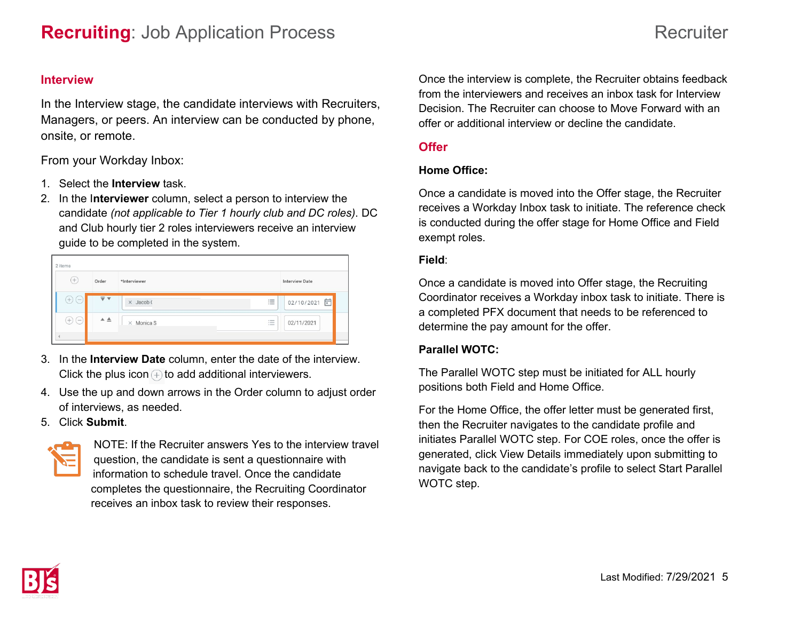#### **Interview**

In the Interview stage, the candidate interviews with Recruiters, Managers, or peers. An interview can be conducted by phone, onsite, or remote.

From your Workday Inbox:

- 1. Select the **Interview** task.
- 2. In the I**nterviewer** column, select a person to interview the candidate *(not applicable to Tier 1 hourly club and DC roles)*. DC and Club hourly tier 2 roles interviewers receive an interview guide to be completed in the system.

| 2 items                  |                                      |                   |                                                |                       |  |
|--------------------------|--------------------------------------|-------------------|------------------------------------------------|-----------------------|--|
| $(+)$                    | Order                                | *Interviewer      |                                                | <b>Interview Date</b> |  |
| $^{(+)}$<br>$\overline{$ | $\overline{\mathbf{v}}$ $\mathbf{v}$ | $\times$ Jacob (  | 1.0000<br>$\overline{\phantom{a}}$<br>$\cdots$ | 02/10/2021            |  |
| $^{+)}$<br>$(-$          | $A \triangleq$                       | $\times$ Monica S | $+$ money<br>1.0000<br>1.0000                  | 02/11/2021            |  |
|                          |                                      |                   |                                                |                       |  |

- 3. In the **Interview Date** column, enter the date of the interview. Click the plus icon  $\oplus$  to add additional interviewers.
- 4. Use the up and down arrows in the Order column to adjust order of interviews, as needed.
- 5. Click **Submit**.



NOTE: If the Recruiter answers Yes to the interview travel question, the candidate is sent a questionnaire with information to schedule travel. Once the candidate completes the questionnaire, the Recruiting Coordinator receives an inbox task to review their responses.

Once the interview is complete, the Recruiter obtains feedback from the interviewers and receives an inbox task for Interview Decision. The Recruiter can choose to Move Forward with an offer or additional interview or decline the candidate.

### **Offer**

#### **Home Office:**

Once a candidate is moved into the Offer stage, the Recruiter receives a Workday Inbox task to initiate. The reference check is conducted during the offer stage for Home Office and Field exempt roles.

#### **Field**:

Once a candidate is moved into Offer stage, the Recruiting Coordinator receives a Workday inbox task to initiate. There is a completed PFX document that needs to be referenced to determine the pay amount for the offer.

#### **Parallel WOTC:**

The Parallel WOTC step must be initiated for ALL hourly positions both Field and Home Office.

For the Home Office, the offer letter must be generated first, then the Recruiter navigates to the candidate profile and initiates Parallel WOTC step. For COE roles, once the offer is generated, click View Details immediately upon submitting to navigate back to the candidate's profile to select Start Parallel WOTC step.

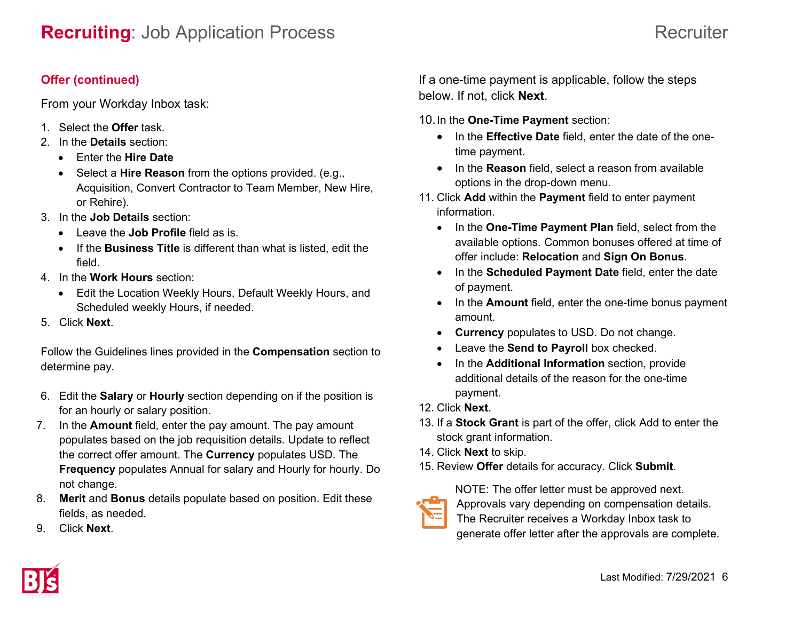# **Recruiting**: Job Application Process Recruiter

## **Offer (continued)**

From your Workday Inbox task:

- 1. Select the **Offer** task.
- 2. In the **Details** section:
	- Enter the **Hire Date**
	- Select a **Hire Reason** from the options provided. (e.g., Acquisition, Convert Contractor to Team Member, New Hire, or Rehire).
- 3. In the **Job Details** section:
	- Leave the **Job Profile** field as is.
	- If the **Business Title** is different than what is listed, edit the field.
- 4. In the **Work Hours** section:
	- Edit the Location Weekly Hours, Default Weekly Hours, and Scheduled weekly Hours, if needed.
- 5. Click **Next**.

Follow the Guidelines lines provided in the **Compensation** section to determine pay.

- 6. Edit the **Salary** or **Hourly** section depending on if the position is for an hourly or salary position.
- 7. In the **Amount** field, enter the pay amount. The pay amount populates based on the job requisition details. Update to reflect the correct offer amount. The **Currency** populates USD. The **Frequency** populates Annual for salary and Hourly for hourly. Do not change.
- 8. **Merit** and **Bonus** details populate based on position. Edit these fields, as needed.
- 9. Click **Next**.

If a one-time payment is applicable, follow the steps below. If not, click **Next**.

10.In the **One-Time Payment** section:

- In the **Effective Date** field, enter the date of the onetime payment.
- In the **Reason** field, select a reason from available options in the drop-down menu.
- 11. Click **Add** within the **Payment** field to enter payment information.
	- In the **One-Time Payment Plan** field, select from the available options. Common bonuses offered at time of offer include: **Relocation** and **Sign On Bonus**.
	- In the **Scheduled Payment Date** field, enter the date of payment.
	- In the **Amount** field, enter the one-time bonus payment amount.
	- **Currency** populates to USD. Do not change.
	- Leave the **Send to Payroll** box checked.
	- In the **Additional Information** section, provide additional details of the reason for the one-time payment.
- 12. Click **Next**.
- 13. If a **Stock Grant** is part of the offer, click Add to enter the stock grant information.
- 14. Click **Next** to skip.
- 15. Review **Offer** details for accuracy. Click **Submit**.

NOTE: The offer letter must be approved next.



The Recruiter receives a Workday Inbox task to generate offer letter after the approvals are complete.

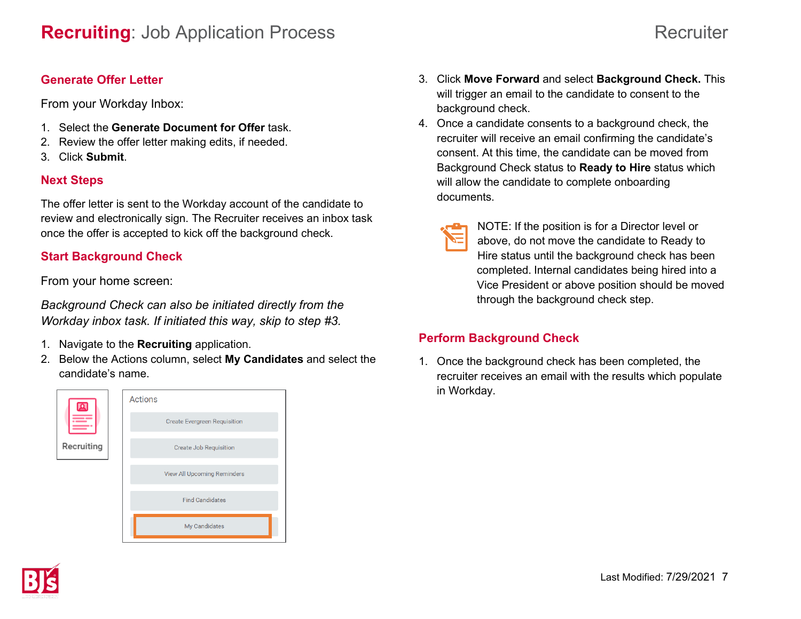### **Generate Offer Letter**

From your Workday Inbox:

- 1. Select the **Generate Document for Offer** task.
- 2. Review the offer letter making edits, if needed.
- 3. Click **Submit**.

# **Next Steps**

The offer letter is sent to the Workday account of the candidate to review and electronically sign. The Recruiter receives an inbox task once the offer is accepted to kick off the background check.

# **Start Background Check**

From your home screen:

*Background Check can also be initiated directly from the Workday inbox task. If initiated this way, skip to step #3.* 

- 1. Navigate to the **Recruiting** application.
- 2. Below the Actions column, select **My Candidates** and select the candidate's name.



- 3. Click **Move Forward** and select **Background Check.** This will trigger an email to the candidate to consent to the background check.
- 4. Once a candidate consents to a background check, the recruiter will receive an email confirming the candidate's consent. At this time, the candidate can be moved from Background Check status to **Ready to Hire** status which will allow the candidate to complete onboarding documents.

| ×<br>$\mathcal{L}(\mathcal{L})$ and $\mathcal{L}(\mathcal{L})$ and $\mathcal{L}(\mathcal{L})$ and $\mathcal{L}(\mathcal{L})$<br>and the state of the state of the state of the state of the state of the state of the state of the state of th<br><b>Service Service</b> |
|--------------------------------------------------------------------------------------------------------------------------------------------------------------------------------------------------------------------------------------------------------------------------|
| M.                                                                                                                                                                                                                                                                       |

NOTE: If the position is for a Director level or above, do not move the candidate to Ready to Hire status until the background check has been completed. Internal candidates being hired into a Vice President or above position should be moved through the background check step.

# **Perform Background Check**

1. Once the background check has been completed, the recruiter receives an email with the results which populate in Workday.